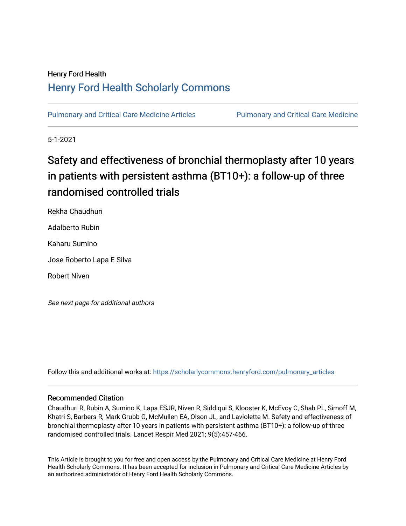### Henry Ford Health [Henry Ford Health Scholarly Commons](https://scholarlycommons.henryford.com/)

[Pulmonary and Critical Care Medicine Articles](https://scholarlycommons.henryford.com/pulmonary_articles) [Pulmonary and Critical Care Medicine](https://scholarlycommons.henryford.com/pulmonary) 

5-1-2021

# Safety and effectiveness of bronchial thermoplasty after 10 years in patients with persistent asthma (BT10+): a follow-up of three randomised controlled trials

Rekha Chaudhuri Adalberto Rubin Kaharu Sumino Jose Roberto Lapa E Silva Robert Niven

See next page for additional authors

Follow this and additional works at: [https://scholarlycommons.henryford.com/pulmonary\\_articles](https://scholarlycommons.henryford.com/pulmonary_articles?utm_source=scholarlycommons.henryford.com%2Fpulmonary_articles%2F128&utm_medium=PDF&utm_campaign=PDFCoverPages)

### Recommended Citation

Chaudhuri R, Rubin A, Sumino K, Lapa ESJR, Niven R, Siddiqui S, Klooster K, McEvoy C, Shah PL, Simoff M, Khatri S, Barbers R, Mark Grubb G, McMullen EA, Olson JL, and Laviolette M. Safety and effectiveness of bronchial thermoplasty after 10 years in patients with persistent asthma (BT10+): a follow-up of three randomised controlled trials. Lancet Respir Med 2021; 9(5):457-466.

This Article is brought to you for free and open access by the Pulmonary and Critical Care Medicine at Henry Ford Health Scholarly Commons. It has been accepted for inclusion in Pulmonary and Critical Care Medicine Articles by an authorized administrator of Henry Ford Health Scholarly Commons.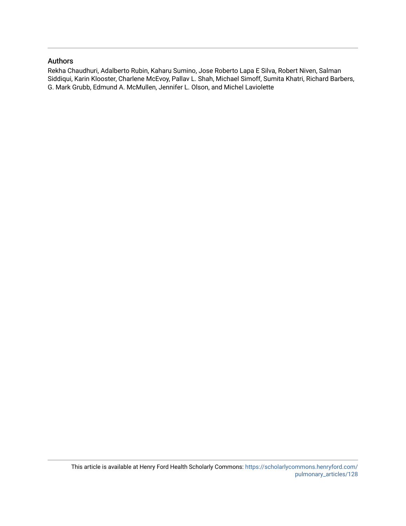### Authors

Rekha Chaudhuri, Adalberto Rubin, Kaharu Sumino, Jose Roberto Lapa E Silva, Robert Niven, Salman Siddiqui, Karin Klooster, Charlene McEvoy, Pallav L. Shah, Michael Simoff, Sumita Khatri, Richard Barbers, G. Mark Grubb, Edmund A. McMullen, Jennifer L. Olson, and Michel Laviolette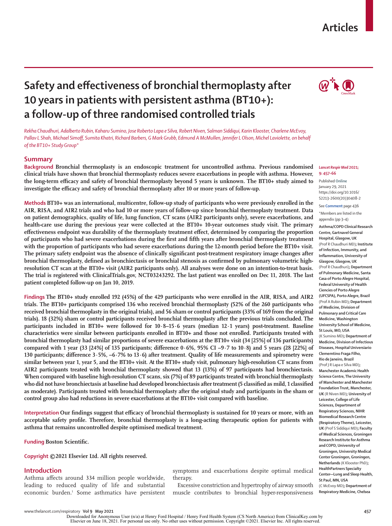## **Articles**

## **Safety and effectiveness of bronchial thermoplasty after 10 years in patients with persistent asthma (BT10+): a follow-up of three randomised controlled trials**



*Rekha Chaudhuri, Adalberto Rubin, Kaharu Sumino, Jose Roberto Lapa e Silva, Robert Niven, Salman Siddiqui, Karin Klooster, Charlene McEvoy, Pallav L Shah, Michael Simoff, Sumita Khatri, Richard Barbers, G Mark Grubb, Edmund A McMullen, Jennifer L Olson, Michel Laviolette, on behalf of the BT10+ Study Group\**

#### **Summary**

**Background Bronchial thermoplasty is an endoscopic treatment for uncontrolled asthma. Previous randomised clinical trials have shown that bronchial thermoplasty reduces severe exacerbations in people with asthma. However, the long-term efficacy and safety of bronchial thermoplasty beyond 5 years is unknown. The BT10+ study aimed to investigate the efficacy and safety of bronchial thermoplasty after 10 or more years of follow-up.**

**Methods BT10+ was an international, multicentre, follow-up study of participants who were previously enrolled in the AIR, RISA, and AIR2 trials and who had 10 or more years of follow-up since bronchial thermoplasty treatment. Data on patient demographics, quality of life, lung function, CT scans (AIR2 participants only), severe exacerbations, and health-care use during the previous year were collected at the BT10+ 10-year outcomes study visit. The primary effectiveness endpoint was durability of the thermoplasty treatment effect, determined by comparing the proportion of participants who had severe exacerbations during the first and fifth years after bronchial thermoplasty treatment with the proportion of participants who had severe exacerbations during the 12-month period before the BT10+ visit. The primary safety endpoint was the absence of clinically significant post-treatment respiratory image changes after bronchial thermoplasty, defined as bronchiectasis or bronchial stenosis as confirmed by pulmonary volumetric highresolution CT scan at the BT10+ visit (AIR2 participants only). All analyses were done on an intention-to-treat basis. The trial is registered with ClinicalTrials.gov, NCT03243292. The last patient was enrolled on Dec 11, 2018. The last patient completed follow-up on Jan 10, 2019.**

**Findings The BT10+ study enrolled 192 (45%) of the 429 participants who were enrolled in the AIR, RISA, and AIR2 trials. The BT10+ participants comprised 136 who received bronchial thermoplasty (52% of the 260 participants who received bronchial thermoplasty in the original trials), and 56 sham or control participants (33% of 169 from the original trials). 18 (32%) sham or control participants received bronchial thermoplasty after the previous trials concluded. The participants included in BT10+ were followed for 10·8–15·6 years (median 12·1 years) post-treatment. Baseline characteristics were similar between participants enrolled in BT10+ and those not enrolled. Participants treated with bronchial thermoplasty had similar proportions of severe exacerbations at the BT10+ visit (34 [25%] of 136 participants) compared with 1 year (33 [24%] of 135 participants; difference 0·6%, 95% CI –9·7 to 10·8) and 5 years (28 [22%] of 130 participants; difference 3·5%, –6·7% to 13·6) after treatment. Quality of life measurements and spirometry were similar between year 1, year 5, and the BT10+ visit. At the BT10+ study visit, pulmonary high-resolution CT scans from AIR2 participants treated with bronchial thermoplasty showed that 13 (13%) of 97 participants had bronchiectasis. When compared with baseline high-resolution CT scans, six (7%) of 89 participants treated with bronchial thermoplasty who did not have bronchiectasis at baseline had developed bronchiectasis after treatment (5 classified as mild, 1 classified as moderate). Participants treated with bronchial thermoplasty after the original study and participants in the sham or control group also had reductions in severe exacerbations at the BT10+ visit compared with baseline.**

**Interpretation Our findings suggest that efficacy of bronchial thermoplasty is sustained for 10 years or more, with an acceptable safety profile. Therefore, bronchial thermoplasty is a long-acting therapeutic option for patients with asthma that remains uncontrolled despite optimised medical treatment.**

**Funding Boston Scientific.**

**Copyright ©2021 Elsevier Ltd. All rights reserved.**

#### **Introduction**

Asthma affects around 334 million people worldwide, leading to reduced quality of life and substantial economic burden.1 Some asthmatics have persistent symptoms and exacerbations despite optimal medical therapy.

Excessive constriction and hypertrophy of airway smooth muscle contributes to bronchial hyper-responsiveness

#### *Lancet Respir Med* **2021; 9: 457–66**

Published **Online** January 29, 2021 https://doi.org/10.1016/ S2213-2600(20)30408-2

See **Comment** page 436 \*Members are listed in the appendix (pp 3–4)

**Asthma/COPD Clinical Research** 

**Centre, Gartnavel General Hospital, Glasgow, UK**  (Prof R Chaudhuri MD)**; Institute of Infection, Immunity, and Inflammation, University of Glasgow, Glasgow, UK** (Prof R Chaudhuri)**; Department of Pulmonary Medicine, Santa Casa of Porto Alegre Hospital, Federal University of Health Ciencies of Porto Alegre (UFCSPA), Porto Alegre, Brazil**  (Prof A Rubin MD)**; Department of Medicine, Division of Pulmonary and Critical Care Medicine, Washington University School of Medicine, St Louis, MO, USA** (K Sumino MD)**; Department of Medicine, Division of Infectious Diseases, Hospital Universiario Clememtino Fraga Filho, Rio de Janeiro, Brazil**  (Prof J R Lapa e Silva MD)**; Manchester Academic Health Science Centre, The University of Manchester and Manchester Foundation Trust, Manchester, UK** (R Niven MD)**; University of Leicester, College of Life Sciences, Department of Respiratory Sciences, NIHR Biomedical Research Centre (Respiratory Theme), Leicester, UK** (Prof S Siddiqui MD)**; Faculty of Medical Sciences, Groningen Research Institute for Asthma and COPD, University of Groningen, University Medical Center Groningen, Groningen, Netherlands** (K Klooster PhD)**; HealthPartners Specialty Center—Lung and Sleep Health, St Paul, MN, USA**  (C McEvoy MD)**; Department of Respiratory Medicine, Chelsea**

www.thelancet.com/respiratory **Vol 9 May 2021 457**

Downloaded for Anonymous User (n/a) at Henry Ford Hospital / Henry Ford Health System (CS North America) from ClinicalKey.com by Elsevier on June 18, 2021. For personal use only. No other uses without permission. Copyright ©2021. Elsevier Inc. All rights reserved.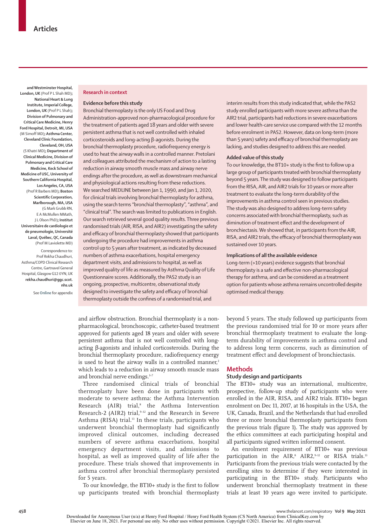**and Westminster Hospital, London, UK** (Prof P L Shah MD)**; National Heart & Lung Institute, Imperial College, London, UK** (Prof P L Shah)**; Division of Pulmonary and Critical Care Medicine, Henry Ford Hospital, Detroit, MI, USA** (M Simoff MD)**; Asthma Center, Cleveland Clinic Foundation, Cleveland, OH, USA** (S Khatri MD)**; Department of Clinical Medicine, Division of Pulmonary and Critical Care Medicine, Keck School of Medicine of USC, University of Southern California Hospital, Los Angeles, CA, USA**  (Prof R Barbers MD)**; Boston Scientific Corporation, Marlborough, MA, USA** (G Mark Grubb RN, E A McMullen MMath, J L Olson PhD)**; Institut Universitaire de cardiologie et de pneumologie, Université Laval, Québec, QC, Canada** (Prof M Laviolette MD) Correspondence to:

Prof Rekha Chaudhuri, Asthma/COPD Clinical Research Centre, Gartnavel General Hospital, Glasgow G12 0YN, UK **rekha.chaudhuri@ggc.scot. nhs.uk**

See **Online** for appendix

#### **Research in context**

#### **Evidence before this study**

Bronchial thermoplasty is the only US Food and Drug Administration-approved non-pharmacological procedure for the treatment of patients aged 18 years and older with severe persistent asthma that is not well controlled with inhaled corticosteroids and long-acting β-agonists. During the bronchial thermoplasty procedure, radiofrequency energy is used to heat the airway walls in a controlled manner. Pretolani and colleagues attributed the mechanism of action to a lasting reduction in airway smooth muscle mass and airway nerve endings after the procedure, as well as downstream mechanical and physiological actions resulting from these reductions. We searched MEDLINE between Jan 1, 1990, and Jan 1, 2020, for clinical trials involving bronchial thermoplasty for asthma, using the search terms "bronchial thermoplasty", "asthma", and "clinical trial". The search was limited to publications in English. Our search retrieved several good quality results. Three previous randomised trials (AIR, RISA, and AIR2) investigating the safety and efficacy of bronchial thermoplasty showed that participants undergoing the procedure had improvements in asthma control up to 5 years after treatment, as indicated by decreased numbers of asthma exacerbations, hospital emergency department visits, and admissions to hospital, as well as improved quality of life as measured by Asthma Quality of Life Questionnaire scores. Additionally, the PAS2 study is an ongoing, prospective, multicentre, observational study designed to investigate the safety and efficacy of bronchial thermoplasty outside the confines of a randomised trial, and

and airflow obstruction. Bronchial thermoplasty is a nonpharmacological, bronchoscopic, catheter-based treatment approved for patients aged 18 years and older with severe persistent asthma that is not well controlled with longacting β-agonists and inhaled corticosteroids. During the bronchial thermoplasty procedure, radiofrequency energy is used to heat the airway walls in a controlled manner,<sup>2</sup> which leads to a reduction in airway smooth muscle mass and bronchial nerve endings.<sup>3-7</sup>

Three randomised clinical trials of bronchial thermoplasty have been done in participants with moderate to severe asthma: the Asthma Intervention Research (AIR) trial,<sup>8</sup> the Asthma Intervention Research-2 (AIR2) trial,<sup>9-12</sup> and the Research in Severe Asthma (RISA) trial.<sup>13</sup> In these trials, participants who underwent bronchial thermoplasty had significantly improved clinical outcomes, including decreased numbers of severe asthma exacerbations, hospital emergency department visits, and admissions to hospital, as well as improved quality of life after the procedure. These trials showed that improvements in asthma control after bronchial thermoplasty persisted for 5 years.

To our knowledge, the BT10+ study is the first to follow up participants treated with bronchial thermoplasty

interim results from this study indicated that, while the PAS2 study enrolled participants with more severe asthma than the AIR2 trial, participants had reductions in severe exacerbations and lower health-care service use compared with the 12 months before enrolment in PAS2. However, data on long-term (more than 5 years) safety and efficacy of bronchial thermoplasty are lacking, and studies designed to address this are needed.

#### **Added value of this study**

To our knowledge, the BT10+ study is the first to follow up a large group of participants treated with bronchial thermoplasty beyond 5 years. The study was designed to follow participants from the RISA, AIR, and AIR2 trials for 10 years or more after treatment to evaluate the long-term durability of the improvements in asthma control seen in previous studies. The study was also designed to address long-term safety concerns associated with bronchial thermoplasty, such as diminution of treatment effect and the development of bronchiectasis. We showed that, in participants from the AIR, RISA, and AIR2 trials, the efficacy of bronchial thermoplasty was sustained over 10 years.

#### **Implications of all the available evidence**

Long-term (>10 years) evidence suggests that bronchial thermoplasty is a safe and effective non-pharmacological therapy for asthma, and can be considered as a treatment option for patients whose asthma remains uncontrolled despite optimised medical therapy.

beyond 5 years. The study followed up participants from the previous randomised trial for 10 or more years after bronchial thermoplasty treatment to evaluate the longterm durability of improvements in asthma control and to address long term concerns, such as diminution of treatment effect and development of bronchiectasis.

#### **Methods**

#### **Study design and participants**

The BT10+ study was an international, multicentre, prospective, follow-up study of participants who were enrolled in the AIR, RISA, and AIR2 trials. BT10+ began enrolment on Dec 11, 2017, at 16 hospitals in the USA, the UK, Canada, Brazil, and the Netherlands that had enrolled three or more bronchial thermoplasty participants from the previous trials (figure 1). The study was approved by the ethics committees at each participating hospital and all participants signed written informed consent.

An enrolment requirement of BT10+ was previous participation in the AIR,<sup>8</sup> AIR2,<sup>9-12</sup> or RISA trials.<sup>13</sup> Participants from the previous trials were contacted by the enrolling sites to determine if they were interested in participating in the BT10+ study. Participants who underwent bronchial thermoplasty treatment in these trials at least 10 years ago were invited to participate.

**<sup>458</sup>** www.thelancet.com/respiratory **Vol 9 May 2021**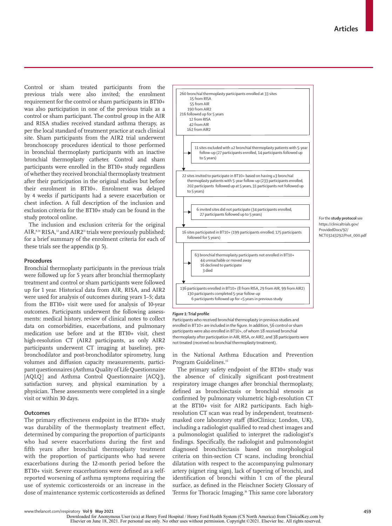Control or sham treated participants from the previous trials were also invited; the enrolment requirement for the control or sham participants in BT10+ was also participation in one of the previous trials as a control or sham participant. The control group in the AIR and RISA studies received standard asthma therapy, as per the local standard of treatment practice at each clinical site. Sham participants from the AIR2 trial underwent bronchoscopy procedures identical to those performed in bronchial thermoplasty participants with an inactive bronchial thermoplasty catheter. Control and sham participants were enrolled in the BT10+ study regardless of whether they received bronchial thermoplasty treatment after their participation in the original studies but before their enrolment in BT10+. Enrolment was delayed by 4 weeks if participants had a severe exacerbation or chest infection. A full description of the inclusion and exclusion criteria for the BT10+ study can be found in the study protocol online.

The inclusion and exclusion criteria for the original AIR,<sup>8,14</sup> RISA,<sup>13</sup> and AIR2<sup>11</sup> trials were previously published; for a brief summary of the enrolment criteria for each of these trials see the appendix (p 5).

#### **Procedures**

Bronchial thermoplasty participants in the previous trials were followed up for 5 years after bronchial thermoplasty treatment and control or sham participants were followed up for 1 year. Historical data from AIR, RISA, and AIR2 were used for analysis of outcomes during years 1–5; data from the BT10+ visit were used for analysis of 10-year outcomes. Participants underwent the following assessments: medical history, review of clinical notes to collect data on comorbidities, exacerbations, and pulmonary medication use before and at the BT10+ visit, chest high-resolution CT (AIR2 participants, as only AIR2 participants underwent CT imaging at baseline), prebronchodilator and post-bronchodilator spirometry, lung volumes and diffusion capacity measurements, participant questionnaires (Asthma Quality of Life Questionnaire [AQLQ] and Asthma Control Questionnaire [ACQ]), satisfaction survey, and physical examination by a physician. These assessments were completed in a single visit or within 30 days.

#### **Outcomes**

The primary effectiveness endpoint in the BT10+ study was durability of the thermoplasty treatment effect, determined by comparing the proportion of participants who had severe exacerbations during the first and fifth years after bronchial thermoplasty treatment with the proportion of participants who had severe exacerbations during the 12-month period before the BT10+ visit. Severe exacerbations were defined as a selfreported worsening of asthma symptoms requiring the use of systemic corticosteroids or an increase in the dose of maintenance systemic corticosteroids as defined



#### *Figure 1:* **Trial profile**

Participants who received bronchial thermoplasty in previous studies and enrolled in BT10+ are included in the figure. In addition, 56 control or sham participants were also enrolled in BT10+, of whom 18 received bronchial thermoplasty after participation in AIR, RISA, or AIR2, and 38 participants were not treated (received no bronchial thermoplasty treatment).

in the National Asthma Education and Prevention Program Guidelines.<sup>15</sup>

The primary safety endpoint of the BT10+ study was the absence of clinically significant post-treatment respiratory image changes after bronchial thermoplasty, defined as bronchiectasis or bronchial stenosis as confirmed by pulmonary volumetric high-resolution CT at the BT10+ visit for AIR2 participants. Each highresolution CT scan was read by independent, treatmentmasked core laboratory staff (BioClinica; London, UK), including a radiologist qualified to read chest images and a pulmonologist qualified to interpret the radiologist's findings. Specifically, the radiologist and pulmonologist diagnosed bronchiectasis based on morphological criteria on thin-section CT scans, including bronchial dilatation with respect to the accompanying pulmonary artery (signet ring sign), lack of tapering of bronchi, and identification of bronchi within 1 cm of the pleural surface, as defined in the Fleischner Society Glossary of Terms for Thoracic Imaging.16 This same core laboratory

For the **study protocol** see https://clinicaltrials.gov/ ProvidedDocs/92/ NCT03243292/Prot\_000.pdf

Downloaded for Anonymous User (n/a) at Henry Ford Hospital / Henry Ford Health System (CS North America) from ClinicalKey.com by<br>Elsevier on June 18, 2021. For personal use only. No other uses without permission. Copyright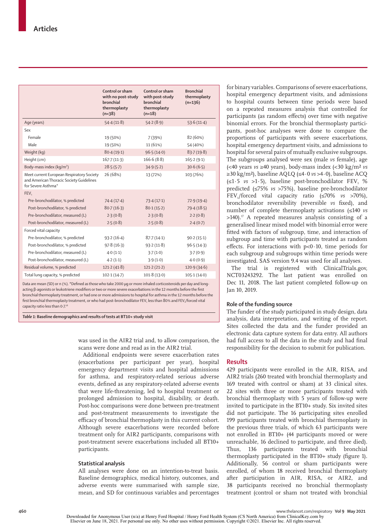|                                                                                                             | Control or sham<br>with no post-study<br>bronchial<br>thermoplasty<br>$(n=38)$ | Control or sham<br>with post-study<br>bronchial<br>thermoplasty<br>$(n=18)$ | <b>Bronchial</b><br>thermoplasty<br>$(n=136)$ |
|-------------------------------------------------------------------------------------------------------------|--------------------------------------------------------------------------------|-----------------------------------------------------------------------------|-----------------------------------------------|
| Age (years)                                                                                                 | 54.4(11.8)                                                                     | 54.2(8.9)                                                                   | 53.6(11.4)                                    |
| Sex                                                                                                         |                                                                                |                                                                             |                                               |
| Female                                                                                                      | 19 (50%)                                                                       | 7 (39%)                                                                     | 82 (60%)                                      |
| Male                                                                                                        | 19 (50%)                                                                       | 11 (61%)                                                                    | 54 (40%)                                      |
| Weight (kg)                                                                                                 | 80.4(19.1)                                                                     | 96.5(14.0)                                                                  | 83.7(19.8)                                    |
| Height (cm)                                                                                                 | 167.7(11.3)                                                                    | 166.6(8.8)                                                                  | 165.2(9.1)                                    |
| Body-mass index (kg/m <sup>2</sup> )                                                                        | 28.5(5.7)                                                                      | 34.9(5.2)                                                                   | 30.6(6.5)                                     |
| Meet current European Respiratory Society<br>and American Thoracic Society Guidelines<br>for Severe Asthma* | 26 (68%)                                                                       | 13 (72%)                                                                    | 103 (76%)                                     |
| FEV,                                                                                                        |                                                                                |                                                                             |                                               |
| Pre-bronchodilator, % predicted                                                                             | 74.4(17.4)                                                                     | 73.4(17.1)                                                                  | 72.9(19.4)                                    |
| Post-bronchodilator, % predicted                                                                            | $80 - 7(16 - 3)$                                                               | 80.1(15.2)                                                                  | 79.4(18.5)                                    |
| Pre-bronchodilator, measured (L)                                                                            | 2.3(0.8)                                                                       | 2.3(0.8)                                                                    | 2.2(0.8)                                      |
| Post-bronchodilator, measured (L)                                                                           | 2.5(0.8)                                                                       | 2.5(0.8)                                                                    | 2.4(0.7)                                      |
| Forced vital capacity                                                                                       |                                                                                |                                                                             |                                               |
| Pre-bronchodilator, % predicted                                                                             | 93.2(16.4)                                                                     | 87.7(14.1)                                                                  | 90.2(15.1)                                    |
| Post-bronchodilator, % predicted                                                                            | 97.8(16.3)                                                                     | 93.2(11.8)                                                                  | 96.5(14.3)                                    |
| Pre-bronchodilator, measured (L)                                                                            | 4.0(1.1)                                                                       | 3.7(1.0)                                                                    | 3.7(0.9)                                      |
| Post-bronchodilator, measured (L)                                                                           | 4.2(1.1)                                                                       | 3.9(1.0)                                                                    | 4.0(0.9)                                      |
| Residual volume, % predicted                                                                                | 121.2(41.8)                                                                    | 121.2(21.2)                                                                 | 120.9(34.6)                                   |
| Total lung capacity, % predicted                                                                            | 102.1(14.7)                                                                    | 101.8(13.0)                                                                 | 105.1(14.0)                                   |
|                                                                                                             |                                                                                |                                                                             |                                               |

Data are mean (SD) or n (%). **\***Defined as those who take 2000 μg or more inhaled corticosteroids per day and longacting β-agonists or leukotriene modifiers or two or more severe exacerbations in the 12 months before the first bronchial thermoplasty treatment, or had one or more admissions to hospital for asthma in the 12 months before the first bronchial thermoplasty treatment, or who had post-bronchodilator FFV less than 80% and FFV /forced vital capacity ratio less than 0·7.18

*Table 1:* **Baseline demographics and results of tests at BT10+ study visit**

was used in the AIR2 trial and, to allow comparison, the scans were done and read as in the AIR2 trial.

Additional endpoints were severe exacerbation rates (exacerbations per participant per year), hospital emergency department visits and hospital admissions for asthma, and respiratory-related serious adverse events, defined as any respiratory-related adverse events that were life-threatening, led to hospital treatment or prolonged admission to hospital, disability, or death. Post-hoc comparisons were done between pre-treatment and post-treatment measurements to investigate the efficacy of bronchial thermoplasty in this current cohort. Although severe exacerbations were recorded before treatment only for AIR2 participants, comparisons with post-treatment severe exacerbations included all BT10+ participants.

#### **Statistical analysis**

All analyses were done on an intention-to-treat basis. Baseline demographics, medical history, outcomes, and adverse events were summarised with sample size, mean, and SD for continuous variables and percentages

for binary variables. Comparisons of severe exacerbations, hospital emergency department visits, and admissions to hospital counts between time periods were based on a repeated measures analysis that controlled for participants (as random effects) over time with negative binomial errors. For the bronchial thermoplasty participants, post-hoc analyses were done to compare the proportions of participants with severe exacerbations, hospital emergency department visits, and admissions to hospital for several pairs of mutually exclusive subgroups. The subgroups analysed were sex (male *vs* female), age (<40 years *vs* ≥40 years), body-mass index (<30 kg/m² *vs* ≥30 kg/m²), baseline AQLQ (≤4·0 *vs* >4·0), baseline ACQ  $(\leq1.5 \text{ vs } >1.5)$ , baseline post-bronchodilator FEV, % predicted (≤75% *vs* >75%), baseline pre-bronchodilator FEV1/forced vital capacity ratio (≤70% *vs* >70%), bronchodilator reversibility (reversible *vs* fixed), and number of complete thermoplasty activations (≤140 *vs*  $>140$ ).<sup>17</sup> A repeated measures analysis consisting of a generalised linear mixed model with binomial error were fitted with factors of subgroup, time, and interaction of subgroup and time with participants treated as random effects. For interactions with  $p<0.10$ , time periods for each subgroup and subgroups within time periods were investigated. SAS version 9.4 was used for all analyses.

The trial is registered with ClinicalTrials.gov, NCT03243292. The last patient was enrolled on Dec 11, 2018. The last patient completed follow-up on Jan 10, 2019.

#### **Role of the funding source**

The funder of the study participated in study design, data analysis, data interpretation, and writing of the report. Sites collected the data and the funder provided an electronic data capture system for data entry. All authors had full access to all the data in the study and had final responsibility for the decision to submit for publication.

#### **Results**

429 participants were enrolled in the AIR, RISA, and AIR2 trials (260 treated with bronchial thermoplasty and 169 treated with control or sham) at 33 clinical sites. 22 sites with three or more participants treated with bronchial thermoplasty with 5 years of follow-up were invited to participate in the BT10+ study. Six invited sites did not participate. The 16 participating sites enrolled 199 participants treated with bronchial thermoplasty in the previous three trials, of which 63 participants were not enrolled in BT10+ (44 participants moved or were unreachable, 16 declined to participate, and three died). Thus, 136 participants treated with bronchial thermoplasty participated in the BT10+ study (figure 1). Additionally, 56 control or sham participants were enrolled, of whom 18 received bronchial thermoplasty after participation in AIR, RISA, or AIR2, and 38 participants received no bronchial thermoplasty treatment (control or sham not treated with bronchial

**<sup>460</sup>** www.thelancet.com/respiratory **Vol 9 May 2021**

Downloaded for Anonymous User (n/a) at Henry Ford Hospital / Henry Ford Health System (CS North America) from ClinicalKey.com by Elsevier on June 18, 2021. For personal use only. No other uses without permission. Copyright ©2021. Elsevier Inc. All rights reserved.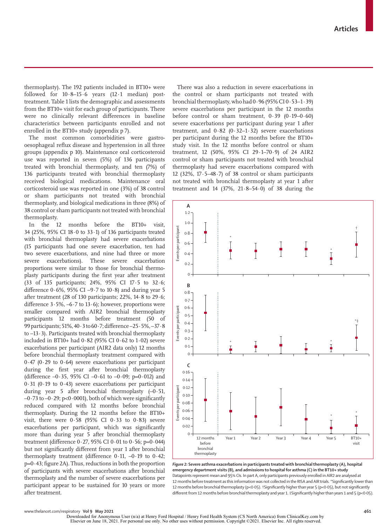thermoplasty). The 192 patients included in BT10+ were followed for  $10.8-15.6$  years  $(12.1 \text{ median})$  posttreatment. Table 1 lists the demographic and assessments from the BT10+ visit for each group of participants. There were no clinically relevant differences in baseline characteristics between participants enrolled and not enrolled in the BT10+ study (appendix p 7).

The most common comorbidities were gastrooesophageal reflux disease and hypertension in all three groups (appendix p 10). Maintenance oral corticosteroid use was reported in seven (5%) of 136 participants treated with bronchial thermoplasty, and ten (7%) of 136 participants treated with bronchial thermoplasty received biological medications. Maintenance oral corticosteroid use was reported in one (3%) of 38 control or sham participants not treated with bronchial thermoplasty, and biological medications in three (8%) of 38 control or sham participants not treated with bronchial thermoplasty.

In the 12 months before the BT10+ visit, 34 (25%, 95% CI 18·0 to 33·1) of 136 participants treated with bronchial thermoplasty had severe exacerbations (15 participants had one severe exacerbation, ten had two severe exacerbations, and nine had three or more severe exacerbations). These severe exacerbation proportions were similar to those for bronchial thermoplasty participants during the first year after treatment (33 of 135 participants; 24%, 95% CI 17·5 to 32·6; difference  $0.6\%$ , 95% CI –9.7 to 10.8) and during year 5 after treatment (28 of 130 participants; 22%, 14·8 to 29·6; difference  $3.5\%$ ,  $-6.7$  to  $13.6$ ; however, proportions were smaller compared with AIR2 bronchial thermoplasty participants 12 months before treatment (50 of 99 participants; 51%, 40·3 to 60·7; difference –25·5%, –37·8 to  $-13 \cdot 3$ ). Participants treated with bronchial thermoplasty included in BT10+ had  $0.82$  (95% CI  $0.62$  to  $1.02$ ) severe exacerbations per participant (AIR2 data only) 12 months before bronchial thermoplasty treatment compared with  $0.47$  (0.29 to 0.64) severe exacerbations per participant during the first year after bronchial thermoplasty (difference  $-0.35$ , 95% CI  $-0.61$  to  $-0.09$ ; p=0.012) and  $0.31$  ( $0.19$  to  $0.43$ ) severe exacerbations per participant during year 5 after bronchial thermoplasty  $(-0.51,$  $-0.73$  to  $-0.29$ ; p< $0.0001$ ), both of which were significantly reduced compared with 12 months before bronchial thermoplasty. During the 12 months before the BT10+ visit, there were  $0.58$  (95% CI  $0.33$  to  $0.83$ ) severe exacerbations per participant, which was significantly more than during year 5 after bronchial thermoplasty treatment (difference  $0.27$ ,  $95\%$  CI  $0.01$  to  $0.56$ ; p=0.044) but not significantly different from year 1 after bronchial thermoplasty treatment (difference 0·11, –0·19 to 0·42; p=0·43; figure 2A). Thus, reductions in both the proportion of participants with severe exacerbations after bronchial thermoplasty and the number of severe exacerbations per participant appear to be sustained for 10 years or more after treatment.

There was also a reduction in severe exacerbations in the control or sham participants not treated with bronchial thermoplasty, who had 0·96 (95% CI 0·53–1·39) severe exacerbations per participant in the 12 months before control or sham treatment, 0·39 (0·19–0·60) severe exacerbations per participant during year 1 after treatment, and  $0.82$  (0.32–1.32) severe exacerbations per participant during the 12 months before the BT10+ study visit. In the 12 months before control or sham treatment, 12 (50%, 95% CI 29·1–70·9) of 24 AIR2 control or sham participants not treated with bronchial thermoplasty had severe exacerbations compared with 12 (32%,  $17.5-48.7$ ) of 38 control or sham participants not treated with bronchial thermoplasty at year 1 after treatment and 14 (37%, 21·8–54·0) of 38 during the



*Figure 2:* **Severe asthma exacerbations in participants treated with bronchial thermoplasty (A), hospital emergency department visits (B), and admissions to hospital for asthma (C) in the BT10+ study** Datapoints represent mean and 95% CIs. In part A, only participants previously enrolled in AIR2 are analysed at 12 months before treatment as this information was not collected in the RISA and AIR trials. \*Significantly lower than 12 months before bronchial thermoplasty (p<0·05). †Significantly higher than year 5 (p<0·05), but not significantly different from 12 months before bronchial thermoplasty and year 1. ‡Significantly higher than years 1 and 5 (p<0.05).

Downloaded for Anonymous User (n/a) at Henry Ford Hospital / Henry Ford Health System (CS North America) from ClinicalKey.com by<br>Elsevier on June 18, 2021. For personal use only. No other uses without permission. Copyright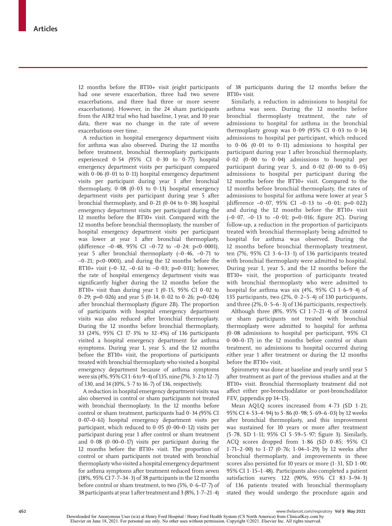12 months before the BT10+ visit (eight participants had one severe exacerbation, three had two severe exacerbations, and three had three or more severe exacerbations). However, in the 24 sham participants from the AIR2 trial who had baseline, 1 year, and 10 year data, there was no change in the rate of severe exacerbations over time.

A reduction in hospital emergency department visits for asthma was also observed. During the 12 months before treatment, bronchial thermoplasty participants experienced  $0.54$  (95% CI  $0.30$  to  $0.77$ ) hospital emergency department visits per participant compared with  $0.06$  ( $0.01$  to  $0.11$ ) hospital emergency department visits per participant during year 1 after bronchial thermoplasty,  $0.08$  ( $0.03$  to  $0.13$ ) hospital emergency department visits per participant during year 5 after bronchial thermoplasty, and  $0.21$  (0.04 to 0.38) hospital emergency department visits per participant during the 12 months before the BT10+ visit. Compared with the 12 months before bronchial thermoplasty, the number of hospital emergency department visits per participant was lower at year 1 after bronchial thermoplasty, (difference  $-0.48$ , 95% CI  $-0.72$  to  $-0.24$ ; p<0.0001), year 5 after bronchial thermoplasty  $(-0.46, -0.71)$  to  $-0.21$ ; p<0.0001), and during the 12 months before the BT10+ visit  $(-0.32, -0.61$  to  $-0.03$ ;  $p=0.031$ ; however, the rate of hospital emergency department visits was significantly higher during the 12 months before the BT10+ visit than during year 1 (0·15, 95% CI 0·02 to 0.29; p=0.026) and year 5 (0.14, 0.02 to 0.26; p=0.024) after bronchial thermoplasty (figure 2B). The proportion of participants with hospital emergency department visits was also reduced after bronchial thermoplasty. During the 12 months before bronchial thermoplasty, 33 (24%, 95% CI 17·3% to 32·4%) of 136 participants visited a hospital emergency department for asthma symptoms. During year 1, year 5, and the 12 months before the BT10+ visit, the proportions of participants treated with bronchial thermoplasty who visited a hospital emergency department because of asthma symptoms were six (4%, 95% CI 1·6 to 9·4) of 135, nine (7%, 3·2 to 12·7) of 130, and 14 (10%, 5·7 to 16·7) of 136, respectively.

A reduction in hospital emergency department visits was also observed in control or sham participants not treated with bronchial thermoplasty. In the 12 months before control or sham treatment, participants had 0·34 (95% CI 0·07–0·61) hospital emergency department visits per participant, which reduced to  $0.05$  ( $0.00-0.12$ ) visits per participant during year 1 after control or sham treatment and  $0.08$  ( $0.00-0.17$ ) visits per participant during the 12 months before the BT10+ visit. The proportion of control or sham participants not treated with bronchial thermoplasty who visited a hospital emergency department for asthma symptoms after treatment reduced from seven (18%, 95% CI 7·7–34·3) of 38 participants in the 12 months before control or sham treatment, to two  $(5\%, 0.6-17.7)$  of 38 participants at year 1 after treatment and 3 (8%, 1·7–21·4) of 38 participants during the 12 months before the BT10+ visit.

Similarly, a reduction in admissions to hospital for asthma was seen. During the 12 months before bronchial thermoplasty treatment, the rate of admissions to hospital for asthma in the bronchial thermoplasty group was  $0.09$  (95% CI  $0.03$  to  $0.14$ ) admissions to hospital per participant, which reduced to 0·06 (0·01 to 0·11) admissions to hospital per participant during year 1 after bronchial thermoplasty, 0·02 (0·00 to 0·04) admissions to hospital per participant during year 5, and  $0.02$  ( $0.00$  to  $0.05$ ) admissions to hospital per participant during the 12 months before the BT10+ visit. Compared to the 12 months before bronchial thermoplasty, the rates of admissions to hospital for asthma were lower at year 5 (difference  $-0.07$ , 95% CI  $-0.13$  to  $-0.01$ ; p=0.022) and during the 12 months before the BT10+ visit  $(-0.07, -0.13 \text{ to } -0.01; \text{ p=0.016}; \text{ figure } 2)$ . During follow-up, a reduction in the proportion of participants treated with bronchial thermoplasty being admitted to hospital for asthma was observed. During the 12 months before bronchial thermoplasty treatment, ten (7%, 95% CI 3 $\cdot$  6–13 $\cdot$ 1) of 136 participants treated with bronchial thermoplasty were admitted to hospital. During year 1, year 5, and the 12 months before the BT10+ visit, the proportion of participants treated with bronchial thermoplasty who were admitted to hospital for asthma was six  $(4\%, 95\% \text{ CI } 1.6-9.4)$  of 135 participants, two (2%, 0·2–5·4) of 130 participants, and three  $(2\%, 0.5-6.3)$  of 136 participants, respectively.

Although three (8%, 95% CI 1·7–21·4) of 38 control or sham participants not treated with bronchial thermoplasty were admitted to hospital for asthma (0·08 admissions to hospital per participant, 95% CI 0·00–0·17) in the 12 months before control or sham treatment, no admissions to hospital occurred during either year 1 after treatment or during the 12 months before the BT10+ visit.

Spirometry was done at baseline and yearly until year 5 after treatment as part of the previous studies and at the BT10+ visit. Bronchial thermoplasty treatment did not affect either pre-bronchodilator or post-bronchodilator  $FEV<sub>1</sub>$  (appendix pp 14–15).

Mean AQLQ scores increased from 4·73 (SD 1·21; 95% CI 4·53–4·94) to 5·86 (0·98; 5·69–6·03) by 12 weeks after bronchial thermoplasty, and this improvement was sustained for 10 years or more after treatment (5·78, SD 1·11; 95% CI 5·59–5·97; figure 3). Similarly, ACQ scores dropped from 1·86 (SD 0·85; 95% CI 1·71–2·00) to 1·17 (0·76; 1·04–1·29) by 12 weeks after bronchial thermoplasty, and improvements in these scores also persisted for 10 years or more (1.31, SD 1.00; 95% CI 1·15–1·48). Participants also completed a patient satisfaction survey. 122 (90%, 95% CI 83·3–94·3) of 136 patients treated with bronchial thermoplasty stated they would undergo the procedure again and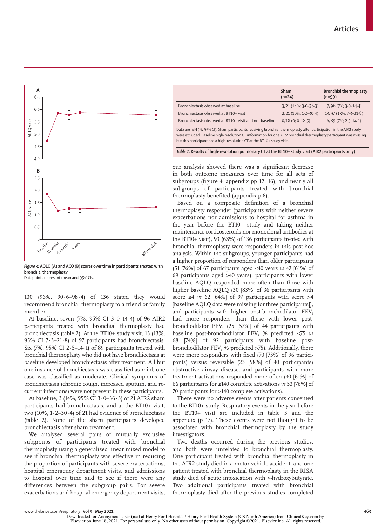

*Figure 3:* **AQLQ (A) and ACQ (B) scores over time in participants treated with bronchial thermoplasty**

Datapoints represent mean and 95% CIs.

130 (96%, 90·6–98·4) of 136 stated they would recommend bronchial thermoplasty to a friend or family member.

At baseline, seven (7%, 95% CI 3·0–14·4) of 96 AIR2 participants treated with bronchial thermoplasty had bronchiectasis (table 2). At the BT10+ study visit, 13 (13%, 95% CI 7·3–21·8) of 97 participants had bronchiectasis. Six (7%, 95% CI 2 $\cdot$  5-14 $\cdot$ 1) of 89 participants treated with bronchial thermoplasty who did not have bronchiectasis at baseline developed bronchiectasis after treatment. All but one instance of bronchiectasis was classified as mild; one case was classified as moderate. Clinical symptoms of bronchiectasis (chronic cough, increased sputum, and recurrent infections) were not present in these participants.

At baseline, 3 (14%, 95% CI 3·0–36·3) of 21 AIR2 sham participants had bronchiectasis, and at the BT10+ visit, two (10%, 1·2–30·4) of 21 had evidence of bronchiectasis (table 2). None of the sham participants developed bronchiectasis after sham treatment.

We analysed several pairs of mutually exclusive subgroups of participants treated with bronchial thermoplasty using a generalised linear mixed model to see if bronchial thermoplasty was effective in reducing the proportion of participants with severe exacerbations, hospital emergency department visits, and admissions to hospital over time and to see if there were any differences between the subgroup pairs. For severe exacerbations and hospital emergency department visits,

|                                                                                                                                                                                                                                                                                                                     | Sham<br>$(n=24)$       | <b>Bronchial thermoplasty</b><br>$(n=99)$ |  |  |  |
|---------------------------------------------------------------------------------------------------------------------------------------------------------------------------------------------------------------------------------------------------------------------------------------------------------------------|------------------------|-------------------------------------------|--|--|--|
| Bronchiectasis observed at baseline                                                                                                                                                                                                                                                                                 | $3/21(14\%; 3.0-36.3)$ | 7/96 (7%; 3.0-14.4)                       |  |  |  |
| Bronchiectasis observed at BT10+ visit                                                                                                                                                                                                                                                                              | $2/21(10\%; 1.2-30.4)$ | 13/97 (13%; 7·3-21·8)                     |  |  |  |
| Bronchiectasis observed at BT10+ visit and not baseline                                                                                                                                                                                                                                                             | $0/18(0; 0-18.5)$      | $6/89$ (7%; 2 $-5-14-1$ )                 |  |  |  |
| Data are n/N (%; 95% CI). Sham participants receiving bronchial thermoplasty after participation in the AIR2 study<br>were excluded. Baseline high-resolution CT information for one AIR2 bronchial thermoplasty participant was missing<br>but this participant had a high-resolution CT at the BT10+ study visit. |                        |                                           |  |  |  |

*Table 2:* **Results of high-resolution pulmonary CT at the BT10+ study visit (AIR2 participants only)**

our analysis showed there was a significant decrease in both outcome measures over time for all sets of subgroups (figure 4; appendix pp 12, 16), and nearly all subgroups of participants treated with bronchial thermoplasty benefited (appendix p 6).

Based on a composite definition of a bronchial thermoplasty responder (participants with neither severe exacerbations nor admissions to hospital for asthma in the year before the BT10+ study and taking neither maintenance corticosteroids nor monoclonal antibodies at the BT10+ visit), 93 (68%) of 136 participants treated with bronchial thermoplasty were responders in this post-hoc analysis. Within the subgroups, younger participants had a higher proportion of responders than older participants (51 [76%] of 67 participants aged ≤40 years *vs* 42 [61%] of 69 participants aged >40 years), participants with lower baseline AQLQ responded more often than those with higher baseline AQLQ (30 [83%] of 36 participants with score ≤4 *vs* 62 [64%] of 97 participants with score >4 [baseline AQLQ data were missing for three participants]), and participants with higher post-bronchodilator  $FEV<sub>1</sub>$ had more responders than those with lower postbronchodilator  $FEV_1$  (25 [57%] of 44 participants with baseline post-bronchodilator FEV<sub>1</sub> % predicted ≤75 *vs* 68 [74%] of 92 participants with baseline postbronchodilator  $FEV<sub>1</sub>$ % predicted >75). Additionally, there were more responders with fixed (70 [73%] of 96 participants) versus reversible (23 [58%] of 40 participants) obstructive airway disease, and participants with more treatment activations responded more often (40 [61%] of 66 participants for ≤140 complete activations *vs* 53 [76%] of 70 participants for >140 complete activations).

There were no adverse events after patients consented to the BT10+ study. Respiratory events in the year before the BT10+ visit are included in table 3 and the appendix (p 17). These events were not thought to be associated with bronchial thermoplasty by the study investigators.

Two deaths occurred during the previous studies, and both were unrelated to bronchial thermoplasty. One participant treated with bronchial thermoplasty in the AIR2 study died in a motor vehicle accident, and one patient treated with bronchial thermoplasty in the RISA study died of acute intoxication with γ-hydroxybutyrate. Two additional participants treated with bronchial thermoplasty died after the previous studies completed

Downloaded for Anonymous User (n/a) at Henry Ford Hospital / Henry Ford Health System (CS North America) from ClinicalKey.com by<br>Elsevier on June 18, 2021. For personal use only. No other uses without permission. Copyright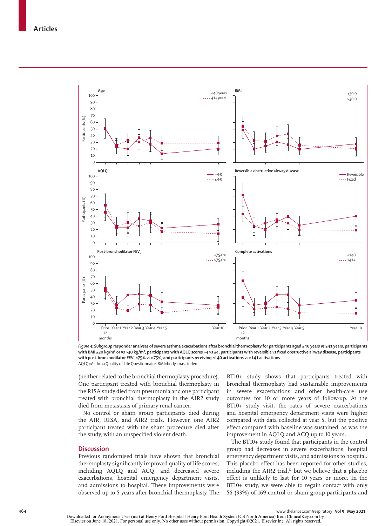

*Figure 4:* **Subgroup responder analyses of severe asthma exacerbations after bronchial thermoplasty for participants aged ≤40 years** *vs* **≥41 years, participants with BMI ≤30 kg/m² or** *vs* **>30 kg/m², participants with AQLQ scores >4** *vs* **≤4, participants with reversible** *vs* **fixed obstructive airway disease, participants with post-bronchodilator FEV1 ≤75%** *vs* **>75%, and participants receiving ≤140 activations** *vs* **≥141 activations** AQLQ=Asthma Quality of Life Questionnaire. BMI=body-mass index.

(neither related to the bronchial thermoplasty procedure). One participant treated with bronchial thermoplasty in the RISA study died from pneumonia and one participant treated with bronchial thermoplasty in the AIR2 study died from metastasis of primary renal cancer.

No control or sham group participants died during the AIR, RISA, and AIR2 trials. However, one AIR2 participant treated with the sham procedure died after the study, with an unspecified violent death.

#### **Discussion**

Previous randomised trials have shown that bronchial thermoplasty significantly improved quality of life scores, including AQLQ and ACQ, and decreased severe exacerbations, hospital emergency department visits, and admissions to hospital. These improvements were observed up to 5 years after bronchial thermoplasty. The

BT10+ study shows that participants treated with bronchial thermoplasty had sustainable improvements in severe exacerbations and other health-care use outcomes for 10 or more years of follow-up. At the BT10+ study visit, the rates of severe exacerbations and hospital emergency department visits were higher compared with data collected at year 5, but the positive effect compared with baseline was sustained, as was the improvement in AQLQ and ACQ up to 10 years.

The BT10+ study found that participants in the control group had decreases in severe exacerbations, hospital emergency department visits, and admissions to hospital. This placebo effect has been reported for other studies, including the AIR2 trial, $12$  but we believe that a placebo effect is unlikely to last for 10 years or more. In the BT10+ study, we were able to regain contact with only 56 (33%) of 169 control or sham group participants and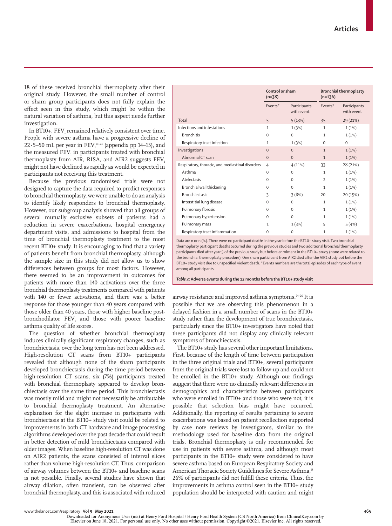www.thelancet.com/respiratory **Vol 9 May 2021 465**

Downloaded for Anonymous User (n/a) at Henry Ford Hospital / Henry Ford Health System (CS North America) from ClinicalKey.com by<br>Elsevier on June 18, 2021. For personal use only. No other uses without permission. Copyright

18 of these received bronchial thermoplasty after their original study. However, the small number of control or sham group participants does not fully explain the effect seen in this study, which might be within the natural variation of asthma, but this aspect needs further investigation.

In BT10+,  $\text{FEV}_1$  remained relatively consistent over time. People with severe asthma have a progressive decline of 22 $\cdot$  5–50 mL per year in FEV $_1^\text{19-23}$  (appendix pp 14–15), and the measured  $\text{FEV}_1$  in participants treated with bronchial thermoplasty from AIR, RISA, and AIR2 suggests FEV. might not have declined as rapidly as would be expected in participants not receiving this treatment.

Because the previous randomised trials were not designed to capture the data required to predict responses to bronchial thermoplasty, we were unable to do an analysis to identify likely responders to bronchial thermoplasty. However, our subgroup analysis showed that all groups of several mutually exclusive subsets of patients had a reduction in severe exacerbations, hospital emergency department visits, and admissions to hospital from the time of bronchial thermoplasty treatment to the most recent BT10+ study. It is encouraging to find that a variety of patients benefit from bronchial thermoplasty, although the sample size in this study did not allow us to show differences between groups for most factors. However, there seemed to be an improvement in outcomes for patients with more than 140 activations over the three bronchial thermoplasty treatments compared with patients with 140 or fewer activations, and there was a better response for those younger than 40 years compared with those older than 40 years, those with higher baseline post $b$ ronchodilator  $FEV<sub>1</sub>$  and those with poorer baseline asthma quality of life scores.

The question of whether bronchial thermoplasty induces clinically significant respiratory changes, such as bronchiectasis, over the long term has not been addressed. High-resolution CT scans from BT10+ participants revealed that although none of the sham participants developed bronchiectasis during the time period between high-resolution CT scans, six (7%) participants treated with bronchial thermoplasty appeared to develop bronchiectasis over the same time period. This bronchiectasis was mostly mild and might not necessarily be attributable to bronchial thermoplasty treatment. An alternative explanation for the slight increase in participants with bronchiectasis at the BT10+ study visit could be related to improvements in both CT hardware and image processing algorithms developed over the past decade that could result in better detection of mild bronchiectasis compared with older images. When baseline high-resolution CT was done on AIR2 patients, the scans consisted of interval slices rather than volume high-resolution CT. Thus, comparison of airway volumes between the BT10+ and baseline scans is not possible. Finally, several studies have shown that airway dilation, often transient, can be observed after bronchial thermoplasty, and this is associated with reduced

|                                                  | Control or sham<br>$(n=38)$ |                            | <b>Bronchial thermoplasty</b><br>$(n=136)$ |                            |
|--------------------------------------------------|-----------------------------|----------------------------|--------------------------------------------|----------------------------|
|                                                  | Events*                     | Participants<br>with event | Events*                                    | Participants<br>with event |
| Total                                            | 5                           | 5(13%)                     | 35                                         | 29 (21%)                   |
| Infections and infestations                      | 1                           | 1(3%)                      | 1                                          | 1(1%)                      |
| <b>Bronchitis</b>                                | $\Omega$                    | $\mathbf{0}$               | 1                                          | 1(1%)                      |
| Respiratory tract infection                      | 1                           | 1(3%)                      | $\Omega$                                   | $\mathbf 0$                |
| Investigations                                   | $\Omega$                    | $\Omega$                   | $\mathbf{1}$                               | 1(1%)                      |
| Abnormal CT scan                                 | $\mathbf{0}$                | $\mathbf{0}$               | $\mathbf{1}$                               | 1(1%)                      |
| Respiratory, thoracic, and mediastinal disorders | $\overline{4}$              | 4(11%)                     | 33                                         | 28 (21%)                   |
| Asthma                                           | $\mathbf 0$                 | $\mathbf 0$                | $\mathbf{1}$                               | 1(1%)                      |
| Atelectasis                                      | $\Omega$                    | $\mathbf 0$                | $\overline{2}$                             | 1(1%)                      |
| Bronchial wall thickening                        | $\Omega$                    | $\mathbf 0$                | $\mathbf{1}$                               | 1(1%)                      |
| <b>Bronchiectasis</b>                            | 3                           | 3(8%)                      | 20                                         | 20 (15%)                   |
| Interstitial lung disease                        | $\Omega$                    | $\mathbf 0$                | 1                                          | 1(1%)                      |
| Pulmonary fibrosis                               | $\Omega$                    | $\Omega$                   | 1                                          | 1(1%)                      |
| Pulmonary hypertension                           | $\Omega$                    | $\Omega$                   | $\mathbf{1}$                               | 1(1%)                      |
| Pulmonary mass                                   | $\mathbf{1}$                | 1 (3%)                     | 5                                          | 5(4%)                      |
| Respiratory tract inflammation                   | 0                           | $\mathbf 0$                | 1                                          | 1(1%)                      |

Data are n or n (%). There were no participant deaths in the year before the BT10+ study visit. Two bronchial thermoplasty participant deaths occurred during the previous studies and two additional bronchial thermoplasty participants died after year 5 of the previous study but before enrolment in the BT10+ study (none were related to the bronchial thermoplasty procedure). One sham participant from AIR2 died after the AIR2 study but before the BT10+ study visit due to unspecified violent death. \*Events numbers are the total episodes of each type of event among all participants.

*Table 3:* **Adverse events during the 12 months before the BT10+ study visit**

airway resistance and improved asthma symptoms.<sup>24-26</sup> It is possible that we are observing this phenomenon in a delayed fashion in a small number of scans in the BT10+ study rather than the development of true bronchiectasis, particularly since the BT10+ investigators have noted that these participants did not display any clinically relevant symptoms of bronchiectasis.

The BT10+ study has several other important limitations. First, because of the length of time between participation in the three original trials and BT10+, several participants from the original trials were lost to follow-up and could not be enrolled in the BT10+ study. Although our findings suggest that there were no clinically relevant differences in demographics and characteristics between participants who were enrolled in BT10+ and those who were not, it is possible that selection bias might have occurred. Additionally, the reporting of results pertaining to severe exacerbations was based on patient recollection supported by case note reviews by investigators, similar to the methodology used for baseline data from the original trials. Bronchial thermoplasty is only recommended for use in patients with severe asthma, and although most participants in the BT10+ study were considered to have severe asthma based on European Respiratory Society and American Thoracic Society Guidelines for Severe Asthma,<sup>18</sup> 26% of participants did not fulfill these criteria. Thus, the improvements in asthma control seen in the BT10+ study population should be interpreted with caution and might